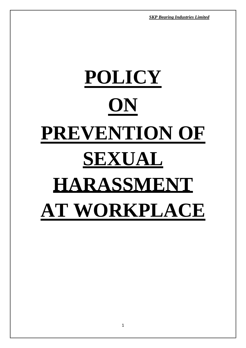*SKP Bearing Industries Limited SKP Bearing Industries Limited*

# **POLICY ON PREVENTION OF SEXUAL HARASSMENT AT WORKPLACE**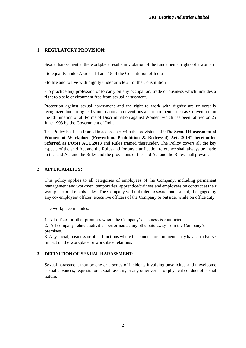# **1. REGULATORY PROVISION:**

Sexual harassment at the workplace results in violation of the fundamental rights of a woman

- to equality under Articles 14 and 15 of the Constitution of India

- to life and to live with dignity under article 21 of the Constitution

- to practice any profession or to carry on any occupation, trade or business which includes a right to a safe environment free from sexual harassment.

Protection against sexual harassment and the right to work with dignity are universally recognized human rights by international conventions and instruments such as Convention on the Elimination of all Forms of Discrimination against Women, which has been ratified on 25 June 1993 by the Government of India.

This Policy has been framed in accordance with the provisions of **"The Sexual Harassment of Women at Workplace (Prevention, Prohibition & Redressal) Act, 2013" hereinafter referred as POSH ACT,2013** and Rules framed thereunder. The Policy covers all the key aspects of the said Act and the Rules and for any clarification reference shall always be made to the said Act and the Rules and the provisions of the said Act and the Rules shall prevail.

# **2. APPLICABILITY:**

This policy applies to all categories of employees of the Company, including permanent management and workmen, temporaries, apprentice/trainees and employees on contract at their workplace or at clients' sites. The Company will not tolerate sexual harassment, if engaged by any co- employee/ officer, executive officers of the Company or outsider while on office duty.

The workplace includes:

1. All offices or other premises where the Company's business is conducted.

2. All company-related activities performed at any other site away from the Company's premises.

3. Any social, business or other functions where the conduct or comments may have an adverse impact on the workplace or workplace relations.

#### **3. DEFINITION OF SEXUAL HARASSMENT:**

Sexual harassment may be one or a series of incidents involving unsolicited and unwelcome sexual advances, requests for sexual favours, or any other verbal or physical conduct of sexual nature.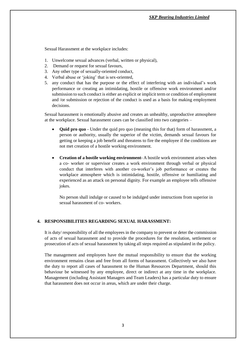Sexual Harassment at the workplace includes:

- 1. Unwelcome sexual advances (verbal, written or physical),
- 2. Demand or request for sexual favours,
- 3. Any other type of sexually-oriented conduct,
- 4. Verbal abuse or 'joking' that is sex-oriented,
- 5. any conduct that has the purpose or the effect of interfering with an individual's work performance or creating an intimidating, hostile or offensive work environment and/or submission to such conduct is either an explicit or implicit term or condition of employment and /or submission or rejection of the conduct is used as a basis for making employment decisions.

Sexual harassment is emotionally abusive and creates an unhealthy, unproductive atmosphere at the workplace. Sexual harassment cases can be classified into two categories –

- **Quid pro quo**  Under the quid pro quo (meaning this for that) form of harassment, a person or authority, usually the superior of the victim, demands sexual favours for getting or keeping a job benefit and threatens to fire the employee if the conditions are not met creation of a hostile working environment.
- **Creation of a hostile working environment** A hostile work environment arises when a co- worker or supervisor creates a work environment through verbal or physical conduct that interferes with another co-worker's job performance or creates the workplace atmosphere which is intimidating, hostile, offensive or humiliating and experienced as an attack on personal dignity. For example an employee tells offensive jokes.

No person shall indulge or caused to be indulged under instructions from superior in sexual harassment of co- workers.

#### **4. RESPONSIBILITIES REGARDING SEXUAL HARASSMENT:**

It is duty/ responsibility of all the employees in the company to prevent or deter the commission of acts of sexual harassment and to provide the procedures for the resolution, settlement or prosecution of acts of sexual harassment by taking all steps required as stipulated in the policy.

The management and employees have the mutual responsibility to ensure that the working environment remains clean and free from all forms of harassment. Collectively we also have the duty to report all cases of harassment to the Human Resources Department, should this behaviour be witnessed by any employee, direct or indirect at any time in the workplace. Management (including Assistant Managers and Team Leaders) has a particular duty to ensure that harassment does not occur in areas, which are under their charge.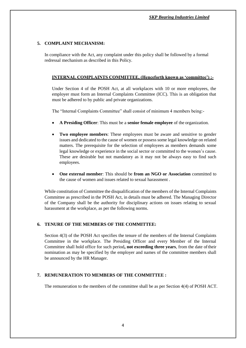# **5. COMPLAINT MECHANISM:**

In compliance with the Act, any complaint under this policy shall be followed by a formal redressal mechanism as described in this Policy.

# **INTERNAL COMPLAINTS COMMITTEE, (Henceforth known as 'committee') :-**

Under Section 4 of the POSH Act, at all workplaces with 10 or more employees, the employer must form an Internal Complaints Committee (ICC). This is an obligation that must be adhered to by public and private organizations.

The "Internal Complaints Committee" shall consist of minimum 4 members being:-

- **A Presiding Officer**: This must be a **senior female employee** of the organization.
- **Two employee members**: These employees must be aware and sensitive to gender issues and dedicated to the cause of women or possess some legal knowledge on related matters. The prerequisite for the selection of employees as members demands some legal knowledge or experience in the social sector or committed to the women's cause. These are desirable but not mandatory as it may not be always easy to find such employees.
- **One external member**: This should be **from an NGO or Association** committed to the cause of women and issues related to sexual harassment .

While constitution of Committee the disqualification of the members of the Internal Complaints Committee as prescribed in the POSH Act, in details must be adhered. The Managing Director of the Company shall be the authority for disciplinary actions on issues relating to sexual harassment at the workplace, as per the following norms.

# **6. TENURE OF THE MEMBERS OF THE COMMITTEE:**

Section 4(3) of the POSH Act specifies the tenure of the members of the Internal Complaints Committee in the workplace. The Presiding Officer and every Member of the Internal Committee shall hold office for such period**, not exceeding three years**, from the date oftheir nomination as may be specified by the employer and names of the committee members shall be announced by the HR Manager.

#### **7. REMUNERATION TO MEMBERS OF THE COMMITTEE :**

The remuneration to the members of the committee shall be as per Section 4(4) of POSH ACT.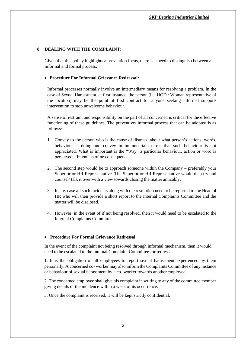# **8. DEALING WITH THE COMPLAINT:**

Given that this policy highlights a prevention focus, there is a need to distinguish between an informal and formal process.

#### **Procedure For Informal Grievance Redressal:**

Informal processes normally involve an intermediary means for resolving a problem. In the case of Sexual Harassment, at first instance, the person (i.e. HOD / Woman representative of the location) may be the point of first contract for anyone seeking informal support/ intervention to stop unwelcome behaviour.

A sense of restraint and responsibility on the part of all concerned is critical for the effective functioning of these guidelines. The preventive/ informal process that can be adopted is as follows:

- 1. Convey to the person who is the cause of distress, about what person's actions, words, behaviour is doing and convey in no uncertain terms that such behaviour is not appreciated. What is important is the "Way" a particular behaviour, action or word is perceived; "Intent" is of no consequence.
- 2. The second step would be to approach someone within the Company preferably your Superior or HR Representative. The Superior or HR Representative would then try and counsel/ talk it over with a view towards closing the matter amicably.
- 3. In any case all such incidents along with the resolution need to be reported to the Head of HR who will then provide a short report to the Internal Complaints Committee and the matter will be disclosed.
- 4. However, in the event of if not being resolved, then it would need to be escalated to the Internal Complaints Committee.

#### **Procedure For Formal Grievance Redressal:**

In the event of the complaint not being resolved through informal mechanism, then it would need to be escalated to the Internal Complaint Committee for redressal.

1. It is the obligation of all employees to report sexual harassment experienced by them personally. A concerned co- worker may also inform the Complaints Committee of any instance or behaviour of sexual harassment by a co- worker towards another employee.

2. The concerned employee shall give his complaint in writing to any of the committee member giving details of the incidence within a week of its occurrence.

3. Once the complaint is received, it will be kept strictly confidential.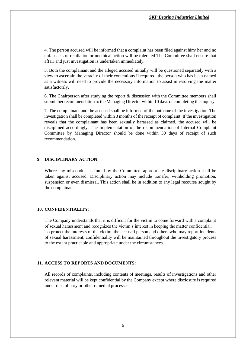4. The person accused will be informed that a complaint has been filed against him/ her and no unfair acts of retaliation or unethical action will be tolerated The Committee shall ensure that affair and just investigation is undertaken immediately.

5. Both the complainant and the alleged accused initially will be questioned separately with a view to ascertain the veracity of their contentions If required, the person who has been named as a witness will need to provide the necessary information to assist in resolving the matter satisfactorily.

6. The Chairperson after studying the report & discussion with the Committee members shall submit her recommendation to the Managing Director within 10 days of completing the inquiry.

7. The complainant and the accused shall be informed of the outcome of the investigation.The investigation shall be completed within 3 months of the receipt of complaint. If the investigation reveals that the complainant has been sexually harassed as claimed, the accused will be disciplined accordingly. The implementation of the recommendation of Internal Complaint Committee by Managing Director should be done within 30 days of receipt of such recommendation.

#### **9. DISCIPLINARY ACTION:**

Where any misconduct is found by the Committee, appropriate disciplinary action shall be taken against accused. Disciplinary action may include transfer, withholding promotion, suspension or even dismissal. This action shall be in addition to any legal recourse sought by the complainant.

#### **10. CONFIDENTIALITY:**

The Company understands that it is difficult for the victim to come forward with a complaint of sexual harassment and recognizes the victim's interest in keeping the matter confidential. To protect the interests of the victim, the accused person and others who may report incidents of sexual harassment, confidentiality will be maintained throughout the investigatory process to the extent practicable and appropriate under the circumstances.

#### **11. ACCESS TO REPORTS AND DOCUMENTS:**

All records of complaints, including contents of meetings, results of investigations and other relevant material will be kept confidential by the Company except where disclosure is required under disciplinary or other remedial processes.